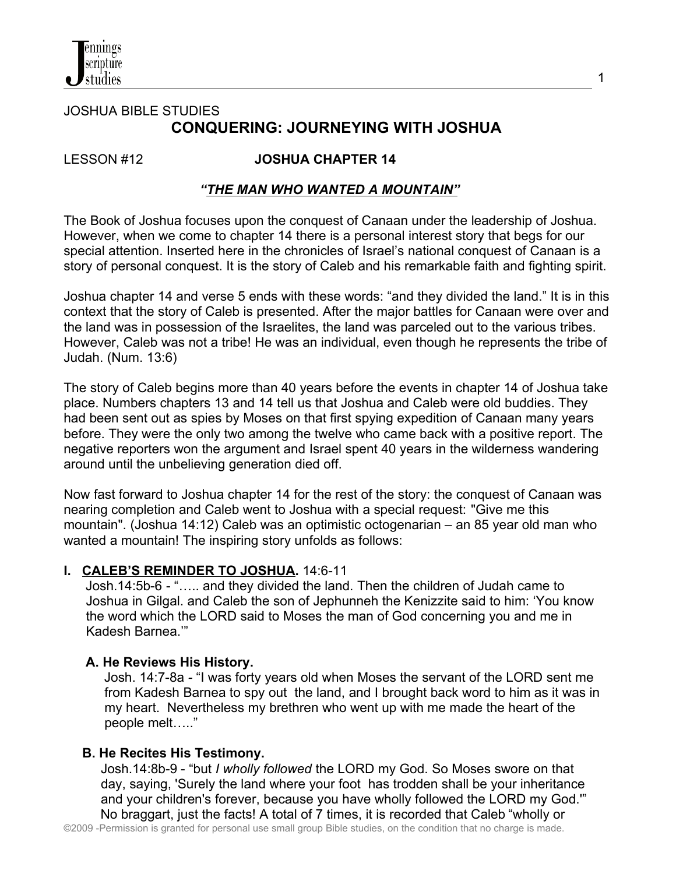

# JOSHUA BIBLE STUDIES **CONQUERING: JOURNEYING WITH JOSHUA**

### LESSON #12 **JOSHUA CHAPTER 14**

## *"THE MAN WHO WANTED A MOUNTAIN"*

1

The Book of Joshua focuses upon the conquest of Canaan under the leadership of Joshua. However, when we come to chapter 14 there is a personal interest story that begs for our special attention. Inserted here in the chronicles of Israel's national conquest of Canaan is a story of personal conquest. It is the story of Caleb and his remarkable faith and fighting spirit.

Joshua chapter 14 and verse 5 ends with these words: "and they divided the land." It is in this context that the story of Caleb is presented. After the major battles for Canaan were over and the land was in possession of the Israelites, the land was parceled out to the various tribes. However, Caleb was not a tribe! He was an individual, even though he represents the tribe of Judah. (Num. 13:6)

The story of Caleb begins more than 40 years before the events in chapter 14 of Joshua take place. Numbers chapters 13 and 14 tell us that Joshua and Caleb were old buddies. They had been sent out as spies by Moses on that first spying expedition of Canaan many years before. They were the only two among the twelve who came back with a positive report. The negative reporters won the argument and Israel spent 40 years in the wilderness wandering around until the unbelieving generation died off.

Now fast forward to Joshua chapter 14 for the rest of the story: the conquest of Canaan was nearing completion and Caleb went to Joshua with a special request: "Give me this mountain". (Joshua 14:12) Caleb was an optimistic octogenarian – an 85 year old man who wanted a mountain! The inspiring story unfolds as follows:

### **I. CALEB'S REMINDER TO JOSHUA.** 14:6-11

Josh.14:5b-6 - "….. and they divided the land. Then the children of Judah came to Joshua in Gilgal. and Caleb the son of Jephunneh the Kenizzite said to him: 'You know the word which the LORD said to Moses the man of God concerning you and me in Kadesh Barnea.'"

### **A. He Reviews His History.**

 Josh. 14:7-8a *-* "I was forty years old when Moses the servant of the LORD sent me from Kadesh Barnea to spy out the land, and I brought back word to him as it was in my heart. Nevertheless my brethren who went up with me made the heart of the people melt….."

### **B. He Recites His Testimony.**

 Josh.14:8b-9 - "but *I wholly followed* the LORD my God. So Moses swore on that day, saying, 'Surely the land where your foot has trodden shall be your inheritance and your children's forever, because you have wholly followed the LORD my God.'" No braggart, just the facts! A total of 7 times, it is recorded that Caleb "wholly or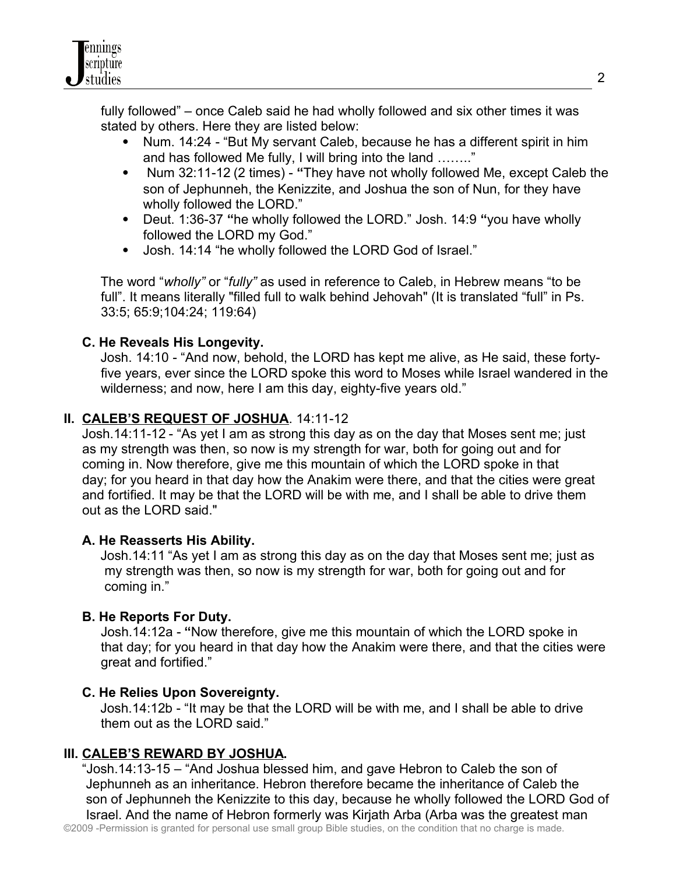

 fully followed" – once Caleb said he had wholly followed and six other times it was stated by others. Here they are listed below:

- Num. 14:24 "But My servant Caleb, because he has a different spirit in him and has followed Me fully, I will bring into the land …….."
- Num 32:11-12 (2 times) **"**They have not wholly followed Me, except Caleb the son of Jephunneh, the Kenizzite, and Joshua the son of Nun, for they have wholly followed the LORD."
- Deut. 1:36-37 **"**he wholly followed the LORD." Josh. 14:9 **"**you have wholly followed the LORD my God."
- Josh. 14:14 "he wholly followed the LORD God of Israel."

The word "*wholly"* or "*fully"* as used in reference to Caleb, in Hebrew means "to be full". It means literally "filled full to walk behind Jehovah" (It is translated "full" in Ps. 33:5; 65:9;104:24; 119:64)

### **C. He Reveals His Longevity.**

 Josh. 14:10 - "And now, behold, the LORD has kept me alive, as He said, these forty five years, ever since the LORD spoke this word to Moses while Israel wandered in the wilderness; and now, here I am this day, eighty-five years old."

### **II. CALEB'S REQUEST OF JOSHUA**. 14:11-12

 Josh.14:11-12 - "As yet I am as strong this day as on the day that Moses sent me; just as my strength was then, so now is my strength for war, both for going out and for coming in. Now therefore, give me this mountain of which the LORD spoke in that day; for you heard in that day how the Anakim were there, and that the cities were great and fortified. It may be that the LORD will be with me, and I shall be able to drive them out as the LORD said."

### **A. He Reasserts His Ability.**

 Josh.14:11 "As yet I am as strong this day as on the day that Moses sent me; just as my strength was then, so now is my strength for war, both for going out and for coming in."

### **B. He Reports For Duty.**

 Josh.14:12a - **"**Now therefore, give me this mountain of which the LORD spoke in that day; for you heard in that day how the Anakim were there, and that the cities were great and fortified."

### **C. He Relies Upon Sovereignty.**

Josh.14:12b - "It may be that the LORD will be with me, and I shall be able to drive them out as the LORD said."

### **III. CALEB'S REWARD BY JOSHUA.**

"Josh.14:13-15 – "And Joshua blessed him, and gave Hebron to Caleb the son of Jephunneh as an inheritance. Hebron therefore became the inheritance of Caleb the son of Jephunneh the Kenizzite to this day, because he wholly followed the LORD God of Israel. And the name of Hebron formerly was Kirjath Arba (Arba was the greatest man ©2009 -Permission is granted for personal use small group Bible studies, on the condition that no charge is made.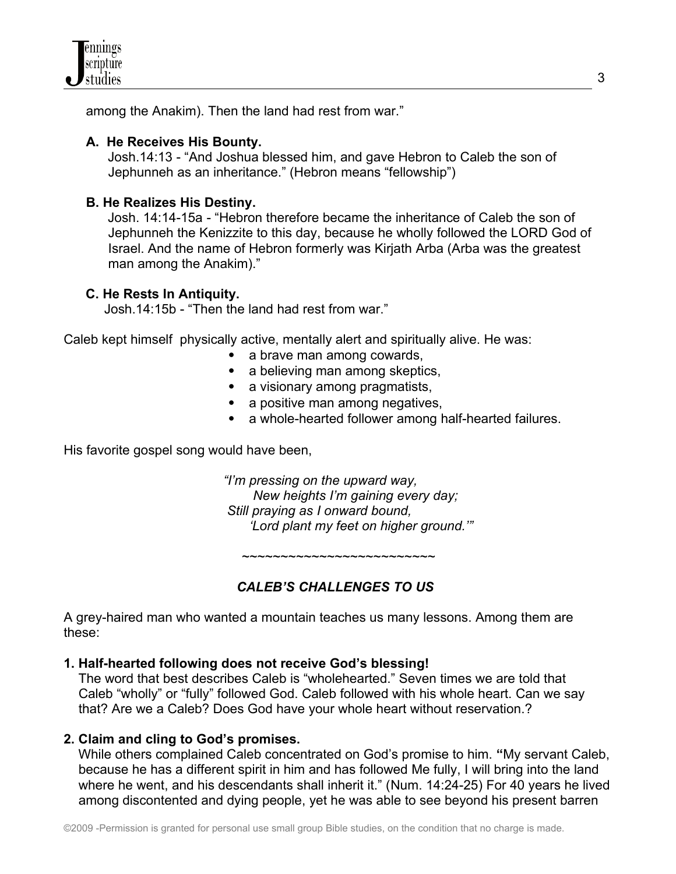

among the Anakim). Then the land had rest from war."

### **A. He Receives His Bounty.**

Josh.14:13 - "And Joshua blessed him, and gave Hebron to Caleb the son of Jephunneh as an inheritance." (Hebron means "fellowship")

### **B. He Realizes His Destiny.**

 Josh. 14:14-15a - "Hebron therefore became the inheritance of Caleb the son of Jephunneh the Kenizzite to this day, because he wholly followed the LORD God of Israel. And the name of Hebron formerly was Kirjath Arba (Arba was the greatest man among the Anakim)."

### **C. He Rests In Antiquity.**

Josh.14:15b - "Then the land had rest from war."

Caleb kept himself physically active, mentally alert and spiritually alive. He was:

- a brave man among cowards,
- a believing man among skeptics,
- a visionary among pragmatists,
- a positive man among negatives,
- a whole-hearted follower among half-hearted failures.

His favorite gospel song would have been,

 *"I'm pressing on the upward way, New heights I'm gaining every day; Still praying as I onward bound, 'Lord plant my feet on higher ground.'"*

~~~~~~~~~~~~~~~~~~~~~~~~~

*CALEB'S CHALLENGES TO US*

A grey-haired man who wanted a mountain teaches us many lessons. Among them are these:

### **1. Half-hearted following does not receive God's blessing!**

The word that best describes Caleb is "wholehearted." Seven times we are told that Caleb "wholly" or "fully" followed God. Caleb followed with his whole heart. Can we say that? Are we a Caleb? Does God have your whole heart without reservation.?

### **2. Claim and cling to God's promises.**

While others complained Caleb concentrated on God's promise to him. **"**My servant Caleb, because he has a different spirit in him and has followed Me fully, I will bring into the land where he went, and his descendants shall inherit it." (Num. 14:24-25) For 40 years he lived among discontented and dying people, yet he was able to see beyond his present barren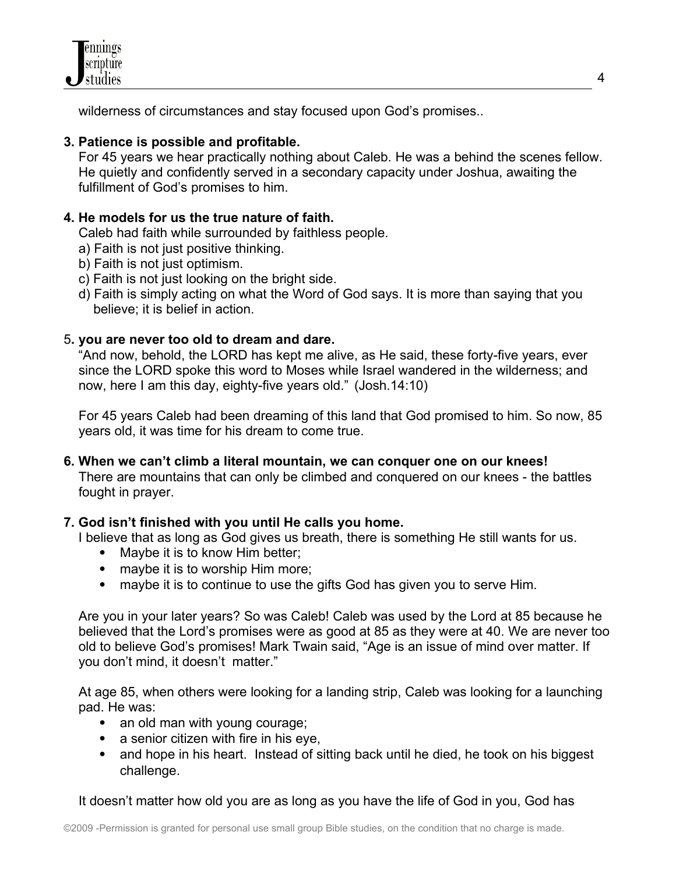

wilderness of circumstances and stay focused upon God's promises..

### **3. Patience is possible and profitable.**

 For 45 years we hear practically nothing about Caleb. He was a behind the scenes fellow. He quietly and confidently served in a secondary capacity under Joshua, awaiting the fulfillment of God's promises to him.

### **4. He models for us the true nature of faith.**

Caleb had faith while surrounded by faithless people.

a) Faith is not just positive thinking.

- b) Faith is not just optimism.
- c) Faith is not just looking on the bright side.
- d) Faith is simply acting on what the Word of God says. It is more than saying that you believe; it is belief in action.

### 5**. you are never too old to dream and dare.**

 "And now, behold, the LORD has kept me alive, as He said, these forty-five years, ever since the LORD spoke this word to Moses while Israel wandered in the wilderness; and now, here I am this day, eighty-five years old." (Josh.14:10)

 For 45 years Caleb had been dreaming of this land that God promised to him. So now, 85 years old, it was time for his dream to come true.

### **6. When we can't climb a literal mountain, we can conquer one on our knees!**

 There are mountains that can only be climbed and conquered on our knees - the battles fought in prayer.

### **7. God isn't finished with you until He calls you home.**

I believe that as long as God gives us breath, there is something He still wants for us.

- Maybe it is to know Him better;
- maybe it is to worship Him more;
- maybe it is to continue to use the gifts God has given you to serve Him.

 Are you in your later years? So was Caleb! Caleb was used by the Lord at 85 because he believed that the Lord's promises were as good at 85 as they were at 40. We are never too old to believe God's promises! Mark Twain said, "Age is an issue of mind over matter. If you don't mind, it doesn't matter."

 At age 85, when others were looking for a landing strip, Caleb was looking for a launching pad. He was:

- an old man with young courage;
- a senior citizen with fire in his eye,
- and hope in his heart. Instead of sitting back until he died, he took on his biggest challenge.

It doesn't matter how old you are as long as you have the life of God in you, God has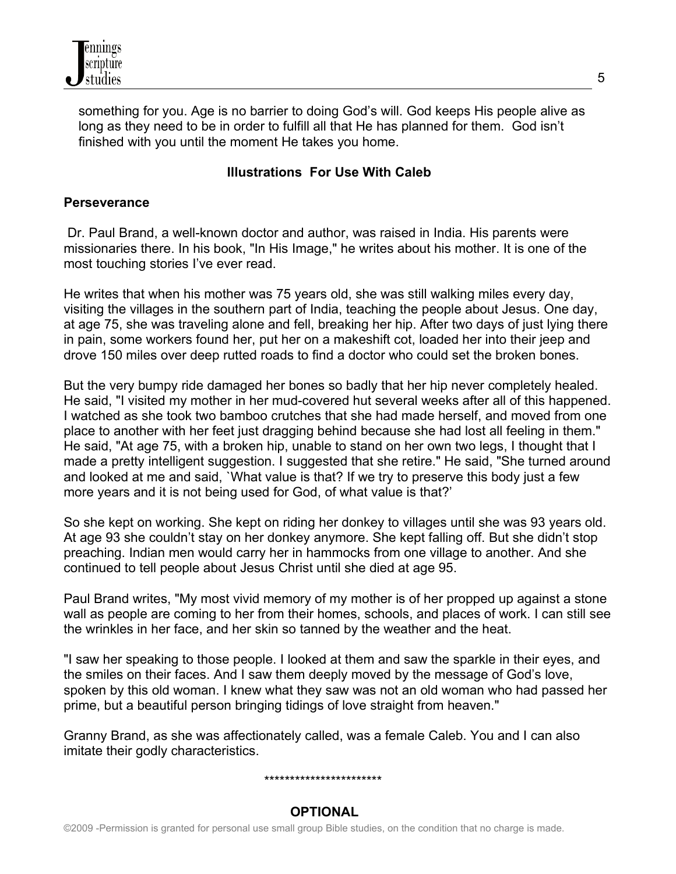something for you. Age is no barrier to doing God's will. God keeps His people alive as long as they need to be in order to fulfill all that He has planned for them. God isn't finished with you until the moment He takes you home.

### **Illustrations For Use With Caleb**

#### **Perseverance**

 Dr. Paul Brand, a well-known doctor and author, was raised in India. His parents were missionaries there. In his book, "In His Image," he writes about his mother. It is one of the most touching stories I've ever read.

He writes that when his mother was 75 years old, she was still walking miles every day, visiting the villages in the southern part of India, teaching the people about Jesus. One day, at age 75, she was traveling alone and fell, breaking her hip. After two days of just lying there in pain, some workers found her, put her on a makeshift cot, loaded her into their jeep and drove 150 miles over deep rutted roads to find a doctor who could set the broken bones.

But the very bumpy ride damaged her bones so badly that her hip never completely healed. He said, "I visited my mother in her mud-covered hut several weeks after all of this happened. I watched as she took two bamboo crutches that she had made herself, and moved from one place to another with her feet just dragging behind because she had lost all feeling in them." He said, "At age 75, with a broken hip, unable to stand on her own two legs, I thought that I made a pretty intelligent suggestion. I suggested that she retire." He said, "She turned around and looked at me and said, `What value is that? If we try to preserve this body just a few more years and it is not being used for God, of what value is that?'

So she kept on working. She kept on riding her donkey to villages until she was 93 years old. At age 93 she couldn't stay on her donkey anymore. She kept falling off. But she didn't stop preaching. Indian men would carry her in hammocks from one village to another. And she continued to tell people about Jesus Christ until she died at age 95.

Paul Brand writes, "My most vivid memory of my mother is of her propped up against a stone wall as people are coming to her from their homes, schools, and places of work. I can still see the wrinkles in her face, and her skin so tanned by the weather and the heat.

"I saw her speaking to those people. I looked at them and saw the sparkle in their eyes, and the smiles on their faces. And I saw them deeply moved by the message of God's love, spoken by this old woman. I knew what they saw was not an old woman who had passed her prime, but a beautiful person bringing tidings of love straight from heaven."

Granny Brand, as she was affectionately called, was a female Caleb. You and I can also imitate their godly characteristics.

#### \*\*\*\*\*\*\*\*\*\*\*\*\*\*\*\*\*\*\*\*\*\*\*

#### **OPTIONAL**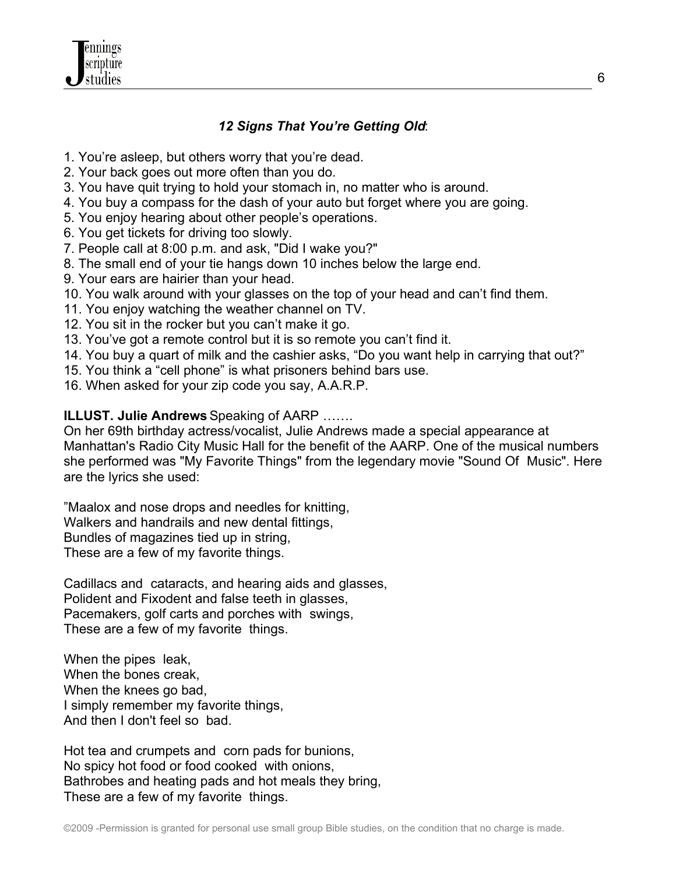ernoture studies

### *12 Signs That You're Getting Old*:

- 1. You're asleep, but others worry that you're dead.
- 2. Your back goes out more often than you do.
- 3. You have quit trying to hold your stomach in, no matter who is around.
- 4. You buy a compass for the dash of your auto but forget where you are going.
- 5. You enjoy hearing about other people's operations.
- 6. You get tickets for driving too slowly.
- 7. People call at 8:00 p.m. and ask, "Did I wake you?"
- 8. The small end of your tie hangs down 10 inches below the large end.
- 9. Your ears are hairier than your head.
- 10. You walk around with your glasses on the top of your head and can't find them.
- 11. You enjoy watching the weather channel on TV.
- 12. You sit in the rocker but you can't make it go.
- 13. You've got a remote control but it is so remote you can't find it.
- 14. You buy a quart of milk and the cashier asks, "Do you want help in carrying that out?"
- 15. You think a "cell phone" is what prisoners behind bars use.
- 16. When asked for your zip code you say, A.A.R.P.

#### **ILLUST. Julie Andrews** Speaking of AARP …….

On her 69th birthday actress/vocalist, Julie Andrews made a special appearance at Manhattan's Radio City Music Hall for the benefit of the AARP. One of the musical numbers she performed was "My Favorite Things" from the legendary movie "Sound Of Music". Here are the lyrics she used:

"Maalox and nose drops and needles for knitting, Walkers and handrails and new dental fittings, Bundles of magazines tied up in string, These are a few of my favorite things.

Cadillacs and cataracts, and hearing aids and glasses, Polident and Fixodent and false teeth in glasses, Pacemakers, golf carts and porches with swings, These are a few of my favorite things.

When the pipes leak, When the bones creak, When the knees go bad, I simply remember my favorite things, And then I don't feel so bad.

Hot tea and crumpets and corn pads for bunions, No spicy hot food or food cooked with onions, Bathrobes and heating pads and hot meals they bring, These are a few of my favorite things.